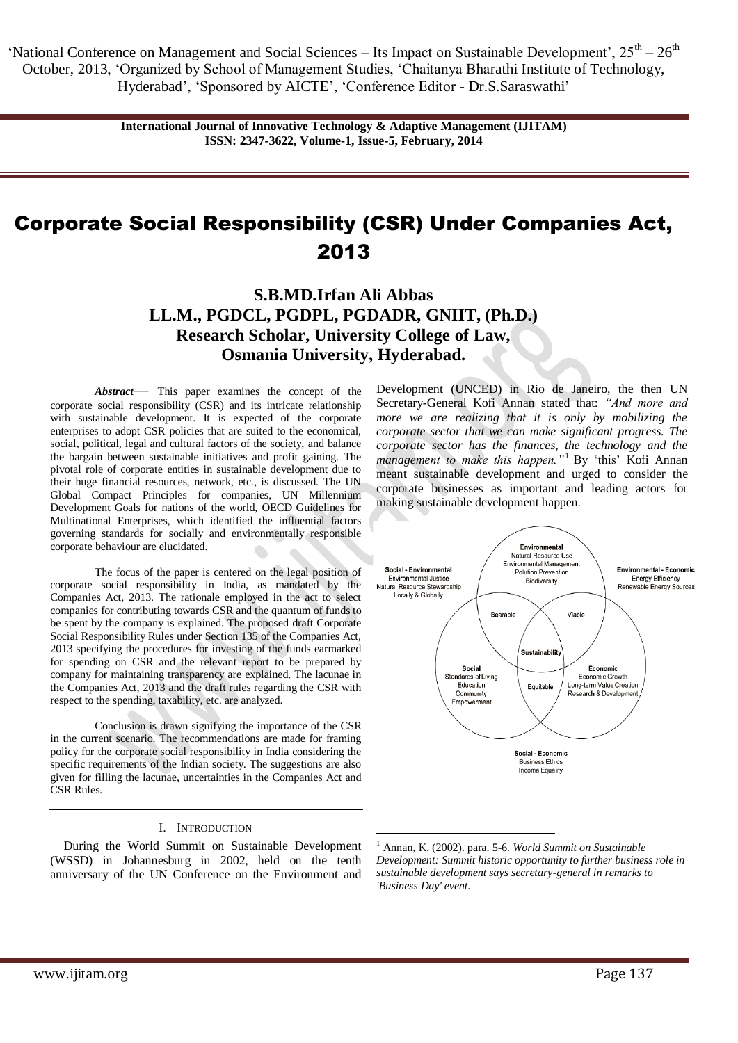> **International Journal of Innovative Technology & Adaptive Management (IJITAM) ISSN: 2347-3622, Volume-1, Issue-5, February, 2014**

# Corporate Social Responsibility (CSR) Under Companies Act, 2013

**S.B.MD.Irfan Ali Abbas LL.M., PGDCL, PGDPL, PGDADR, GNIIT, (Ph.D.) Research Scholar, University College of Law, Osmania University, Hyderabad.**

<u>.</u>

*Abstract*— This paper examines the concept of the corporate social responsibility (CSR) and its intricate relationship with sustainable development. It is expected of the corporate enterprises to adopt CSR policies that are suited to the economical, social, political, legal and cultural factors of the society, and balance the bargain between sustainable initiatives and profit gaining. The pivotal role of corporate entities in sustainable development due to their huge financial resources, network, etc., is discussed. The UN Global Compact Principles for companies, UN Millennium Development Goals for nations of the world, OECD Guidelines for Multinational Enterprises, which identified the influential factors governing standards for socially and environmentally responsible corporate behaviour are elucidated.

The focus of the paper is centered on the legal position of corporate social responsibility in India, as mandated by the Companies Act, 2013. The rationale employed in the act to select companies for contributing towards CSR and the quantum of funds to be spent by the company is explained. The proposed draft Corporate Social Responsibility Rules under Section 135 of the Companies Act, 2013 specifying the procedures for investing of the funds earmarked for spending on CSR and the relevant report to be prepared by company for maintaining transparency are explained. The lacunae in the Companies Act, 2013 and the draft rules regarding the CSR with respect to the spending, taxability, etc. are analyzed.

Conclusion is drawn signifying the importance of the CSR in the current scenario. The recommendations are made for framing policy for the corporate social responsibility in India considering the specific requirements of the Indian society. The suggestions are also given for filling the lacunae, uncertainties in the Companies Act and CSR Rules.

#### I. INTRODUCTION

During the World Summit on Sustainable Development (WSSD) in Johannesburg in 2002, held on the tenth anniversary of the UN Conference on the Environment and

Development (UNCED) in Rio de Janeiro, the then UN Secretary-General Kofi Annan stated that: *"And more and more we are realizing that it is only by mobilizing the corporate sector that we can make significant progress. The corporate sector has the finances, the technology and the management to make this happen."*<sup>1</sup> By ‗this' Kofi Annan meant sustainable development and urged to consider the corporate businesses as important and leading actors for making sustainable development happen.



<sup>1</sup> Annan, K. (2002). para. 5-6. *World Summit on Sustainable Development: Summit historic opportunity to further business role in sustainable development says secretary-general in remarks to 'Business Day' event.*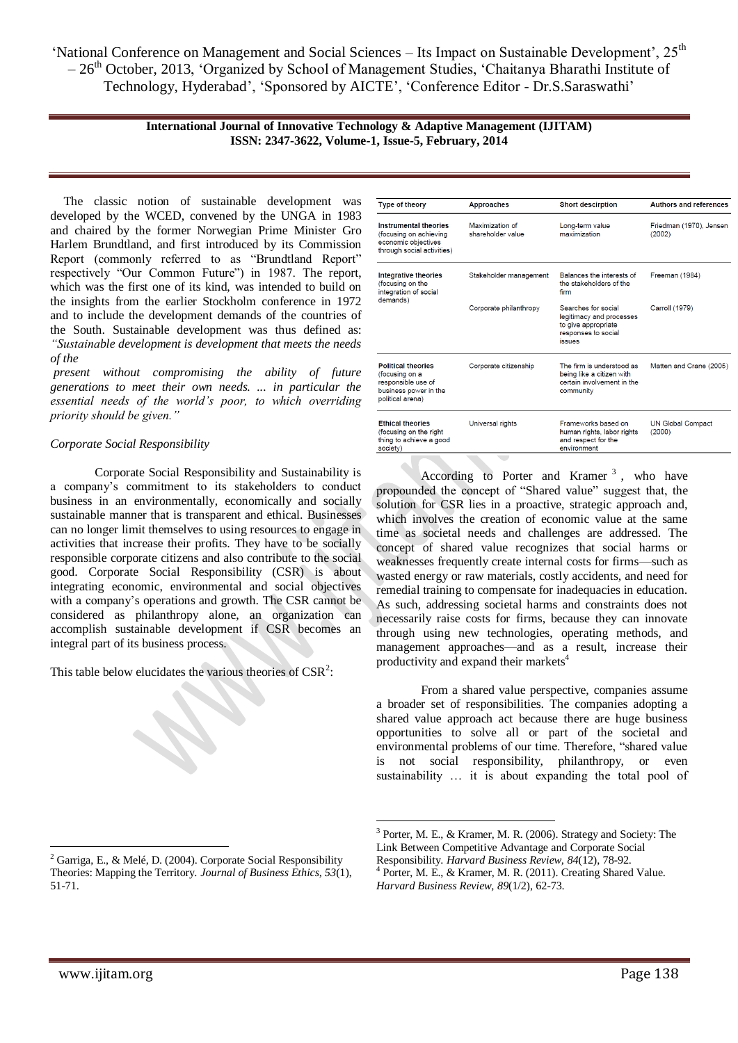#### **International Journal of Innovative Technology & Adaptive Management (IJITAM) ISSN: 2347-3622, Volume-1, Issue-5, February, 2014**

The classic notion of sustainable development was developed by the WCED, convened by the UNGA in 1983 and chaired by the former Norwegian Prime Minister Gro Harlem Brundtland, and first introduced by its Commission Report (commonly referred to as "Brundtland Report" respectively "Our Common Future") in 1987. The report, which was the first one of its kind, was intended to build on the insights from the earlier Stockholm conference in 1972 and to include the development demands of the countries of the South. Sustainable development was thus defined as: *"Sustainable development is development that meets the needs of the*

*present without compromising the ability of future generations to meet their own needs. ... in particular the essential needs of the world's poor, to which overriding priority should be given."*

## *Corporate Social Responsibility*

Corporate Social Responsibility and Sustainability is a company's commitment to its stakeholders to conduct business in an environmentally, economically and socially sustainable manner that is transparent and ethical. Businesses can no longer limit themselves to using resources to engage in activities that increase their profits. They have to be socially responsible corporate citizens and also contribute to the social good. Corporate Social Responsibility (CSR) is about integrating economic, environmental and social objectives with a company's operations and growth. The CSR cannot be considered as philanthropy alone, an organization can accomplish sustainable development if CSR becomes an integral part of its business process.

This table below elucidates the various theories of  $\text{CSR}^2$ :

| <b>Type of theory</b>                                                                                          | <b>Approaches</b>                    | <b>Short descirption</b>                                                                                       | <b>Authors and references</b>      |
|----------------------------------------------------------------------------------------------------------------|--------------------------------------|----------------------------------------------------------------------------------------------------------------|------------------------------------|
| <b>Instrumental theories</b><br>(focusing on achieving<br>economic objectives<br>through social activities)    | Maximization of<br>shareholder value | Long-term value<br>maximization                                                                                | Friedman (1970), Jensen<br>(2002)  |
| <b>Integrative theories</b><br>(focusing on the<br>integration of social<br>demands)                           | Stakeholder management               | Balances the interests of<br>the stakeholders of the<br>firm                                                   | Freeman (1984)                     |
|                                                                                                                | Corporate philanthropy               | Searches for social<br>legitimacy and processes<br>to give appropriate<br>responses to social<br><b>issues</b> | Carroll (1979)                     |
| <b>Political theories</b><br>(focusing on a<br>responsible use of<br>business power in the<br>political arena) | Corporate citizenship                | The firm is understood as<br>being like a citizen with<br>certain involvement in the<br>community              | Matten and Crane (2005)            |
| <b>Ethical theories</b><br>(focusing on the right<br>thing to achieve a good<br>society)                       | Universal rights                     | Frameworks based on<br>human rights, labor rights<br>and respect for the<br>environment                        | <b>UN Global Compact</b><br>(2000) |

According to Porter and Kramer<sup>3</sup>, who have propounded the concept of "Shared value" suggest that, the solution for CSR lies in a proactive, strategic approach and, which involves the creation of economic value at the same time as societal needs and challenges are addressed. The concept of shared value recognizes that social harms or weaknesses frequently create internal costs for firms—such as wasted energy or raw materials, costly accidents, and need for remedial training to compensate for inadequacies in education. As such, addressing societal harms and constraints does not necessarily raise costs for firms, because they can innovate through using new technologies, operating methods, and management approaches—and as a result, increase their productivity and expand their markets<sup>4</sup>

From a shared value perspective, companies assume a broader set of responsibilities. The companies adopting a shared value approach act because there are huge business opportunities to solve all or part of the societal and environmental problems of our time. Therefore, "shared value is not social responsibility, philanthropy, or even sustainability … it is about expanding the total pool of

 $\overline{a}$ 

<sup>2</sup> Garriga, E., & Melé, D. (2004). Corporate Social Responsibility Theories: Mapping the Territory. *Journal of Business Ethics, 53*(1), 51-71.

<sup>1</sup> 3 Porter, M. E., & Kramer, M. R. (2006). Strategy and Society: The Link Between Competitive Advantage and Corporate Social Responsibility. *Harvard Business Review, 84*(12), 78-92.

<sup>4</sup> Porter, M. E., & Kramer, M. R. (2011). Creating Shared Value. *Harvard Business Review, 89*(1/2), 62-73.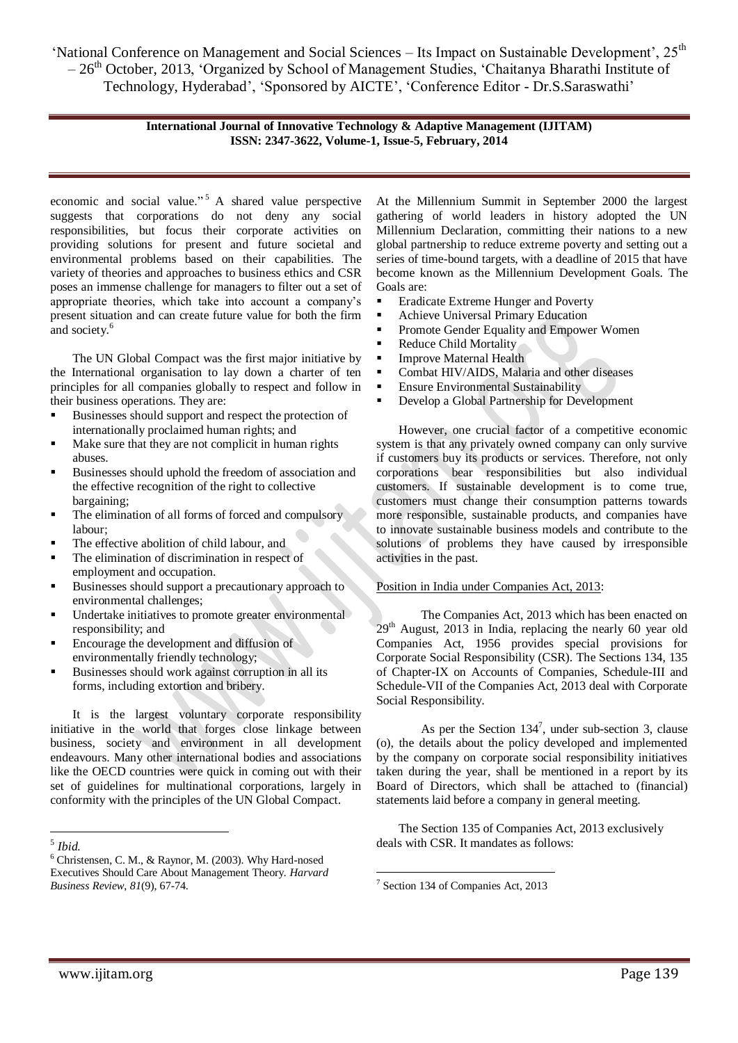> **International Journal of Innovative Technology & Adaptive Management (IJITAM) ISSN: 2347-3622, Volume-1, Issue-5, February, 2014**

economic and social value."<sup>5</sup> A shared value perspective suggests that corporations do not deny any social responsibilities, but focus their corporate activities on providing solutions for present and future societal and environmental problems based on their capabilities. The variety of theories and approaches to business ethics and CSR poses an immense challenge for managers to filter out a set of appropriate theories, which take into account a company's present situation and can create future value for both the firm and society.<sup>6</sup>

The UN Global Compact was the first major initiative by the International organisation to lay down a charter of ten principles for all companies globally to respect and follow in their business operations. They are:

- Businesses should support and respect the protection of internationally proclaimed human rights; and
- Make sure that they are not complicit in human rights abuses.
- Businesses should uphold the freedom of association and the effective recognition of the right to collective bargaining;
- The elimination of all forms of forced and compulsory labour;
- The effective abolition of child labour, and
- The elimination of discrimination in respect of employment and occupation.
- Businesses should support a precautionary approach to environmental challenges;
- Undertake initiatives to promote greater environmental responsibility; and
- Encourage the development and diffusion of environmentally friendly technology;
- Businesses should work against corruption in all its forms, including extortion and bribery.

It is the largest voluntary corporate responsibility initiative in the world that forges close linkage between business, society and environment in all development endeavours. Many other international bodies and associations like the OECD countries were quick in coming out with their set of guidelines for multinational corporations, largely in conformity with the principles of the UN Global Compact.

At the Millennium Summit in September 2000 the largest gathering of world leaders in history adopted the UN Millennium Declaration, committing their nations to a new global partnership to reduce extreme poverty and setting out a series of time-bound targets, with a deadline of 2015 that have become known as the Millennium Development Goals. The Goals are:

- **Extreme Hunger and Poverty**
- Achieve Universal Primary Education
- **Promote Gender Equality and Empower Women**
- Reduce Child Mortality
- **Improve Maternal Health**
- Combat HIV/AIDS, Malaria and other diseases
- Ensure Environmental Sustainability
- Develop a Global Partnership for Development

However, one crucial factor of a competitive economic system is that any privately owned company can only survive if customers buy its products or services. Therefore, not only corporations bear responsibilities but also individual customers. If sustainable development is to come true, customers must change their consumption patterns towards more responsible, sustainable products, and companies have to innovate sustainable business models and contribute to the solutions of problems they have caused by irresponsible activities in the past.

## Position in India under Companies Act, 2013:

The Companies Act, 2013 which has been enacted on  $29<sup>th</sup>$  August, 2013 in India, replacing the nearly 60 year old Companies Act, 1956 provides special provisions for Corporate Social Responsibility (CSR). The Sections 134, 135 of Chapter-IX on Accounts of Companies, Schedule-III and Schedule-VII of the Companies Act, 2013 deal with Corporate Social Responsibility.

As per the Section  $134^7$ , under sub-section 3, clause (o), the details about the policy developed and implemented by the company on corporate social responsibility initiatives taken during the year, shall be mentioned in a report by its Board of Directors, which shall be attached to (financial) statements laid before a company in general meeting.

The Section 135 of Companies Act, 2013 exclusively deals with CSR. It mandates as follows:

1

 5 *Ibid.*

<sup>6</sup> Christensen, C. M., & Raynor, M. (2003). Why Hard-nosed Executives Should Care About Management Theory*. Harvard Business Review*, *81*(9), 67-74.

<sup>7</sup> Section 134 of Companies Act, 2013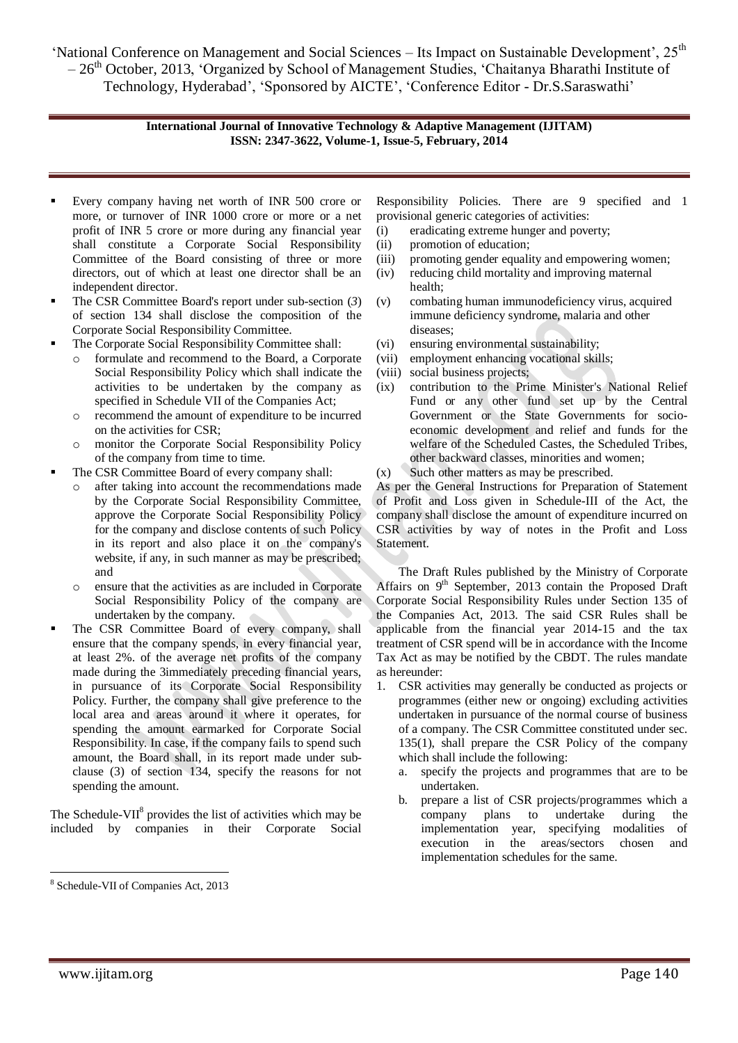## **International Journal of Innovative Technology & Adaptive Management (IJITAM) ISSN: 2347-3622, Volume-1, Issue-5, February, 2014**

- Every company having net worth of INR 500 crore or more, or turnover of INR 1000 crore or more or a net profit of INR 5 crore or more during any financial year shall constitute a Corporate Social Responsibility Committee of the Board consisting of three or more directors, out of which at least one director shall be an independent director.
- The CSR Committee Board's report under sub-section (*3*) of section 134 shall disclose the composition of the Corporate Social Responsibility Committee.
- The Corporate Social Responsibility Committee shall:
	- o formulate and recommend to the Board, a Corporate Social Responsibility Policy which shall indicate the activities to be undertaken by the company as specified in Schedule VII of the Companies Act;
	- o recommend the amount of expenditure to be incurred on the activities for CSR;
	- o monitor the Corporate Social Responsibility Policy of the company from time to time.
- The CSR Committee Board of every company shall:
	- o after taking into account the recommendations made by the Corporate Social Responsibility Committee, approve the Corporate Social Responsibility Policy for the company and disclose contents of such Policy in its report and also place it on the company's website, if any, in such manner as may be prescribed; and
	- ensure that the activities as are included in Corporate Social Responsibility Policy of the company are undertaken by the company.
- The CSR Committee Board of every company, shall ensure that the company spends, in every financial year, at least 2%. of the average net profits of the company made during the 3immediately preceding financial years, in pursuance of its Corporate Social Responsibility Policy. Further, the company shall give preference to the local area and areas around it where it operates, for spending the amount earmarked for Corporate Social Responsibility. In case, if the company fails to spend such amount, the Board shall, in its report made under subclause (3) of section 134, specify the reasons for not spending the amount.

The Schedule-VII $^8$  provides the list of activities which may be included by companies in their Corporate Social

Responsibility Policies. There are 9 specified and 1 provisional generic categories of activities:

- (i) eradicating extreme hunger and poverty;
- (ii) promotion of education;
- (iii) promoting gender equality and empowering women;
- (iv) reducing child mortality and improving maternal health;
- (v) combating human immunodeficiency virus, acquired immune deficiency syndrome, malaria and other diseases;
- (vi) ensuring environmental sustainability;
- (vii) employment enhancing vocational skills;
- (viii) social business projects;
- (ix) contribution to the Prime Minister's National Relief Fund or any other fund set up by the Central Government or the State Governments for socioeconomic development and relief and funds for the welfare of the Scheduled Castes, the Scheduled Tribes, other backward classes, minorities and women;
- (x) Such other matters as may be prescribed.

As per the General Instructions for Preparation of Statement of Profit and Loss given in Schedule-III of the Act, the company shall disclose the amount of expenditure incurred on CSR activities by way of notes in the Profit and Loss Statement.

The Draft Rules published by the Ministry of Corporate Affairs on 9<sup>th</sup> September, 2013 contain the Proposed Draft Corporate Social Responsibility Rules under Section 135 of the Companies Act, 2013. The said CSR Rules shall be applicable from the financial year 2014-15 and the tax treatment of CSR spend will be in accordance with the Income Tax Act as may be notified by the CBDT. The rules mandate as hereunder:

- 1. CSR activities may generally be conducted as projects or programmes (either new or ongoing) excluding activities undertaken in pursuance of the normal course of business of a company. The CSR Committee constituted under sec. 135(1), shall prepare the CSR Policy of the company which shall include the following:
	- a. specify the projects and programmes that are to be undertaken.
	- b. prepare a list of CSR projects/programmes which a company plans to undertake during the implementation year, specifying modalities of execution in the areas/sectors chosen and implementation schedules for the same.

 $\overline{a}$ 

<sup>8</sup> Schedule-VII of Companies Act, 2013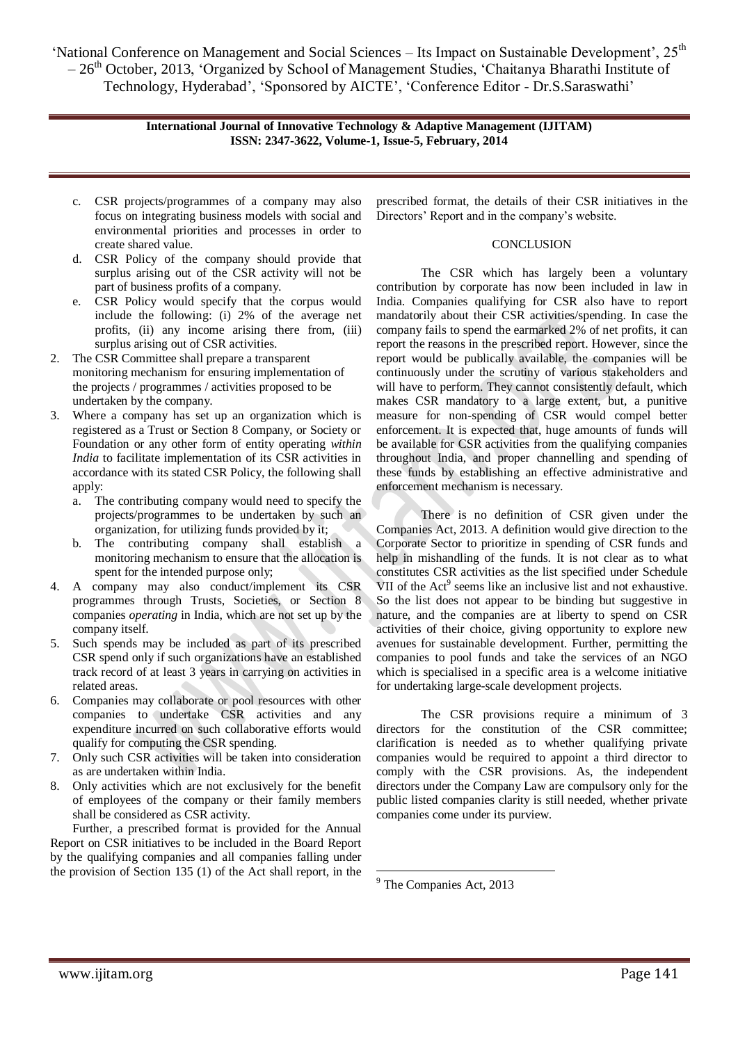> **International Journal of Innovative Technology & Adaptive Management (IJITAM) ISSN: 2347-3622, Volume-1, Issue-5, February, 2014**

- c. CSR projects/programmes of a company may also focus on integrating business models with social and environmental priorities and processes in order to create shared value.
- d. CSR Policy of the company should provide that surplus arising out of the CSR activity will not be part of business profits of a company.
- e. CSR Policy would specify that the corpus would include the following: (i) 2% of the average net profits, (ii) any income arising there from, (iii) surplus arising out of CSR activities.
- 2. The CSR Committee shall prepare a transparent monitoring mechanism for ensuring implementation of the projects / programmes / activities proposed to be undertaken by the company.
- 3. Where a company has set up an organization which is registered as a Trust or Section 8 Company, or Society or Foundation or any other form of entity operating *within India* to facilitate implementation of its CSR activities in accordance with its stated CSR Policy, the following shall apply:
	- a. The contributing company would need to specify the projects/programmes to be undertaken by such an organization, for utilizing funds provided by it;
	- b. The contributing company shall establish a monitoring mechanism to ensure that the allocation is spent for the intended purpose only;
- 4. A company may also conduct/implement its CSR programmes through Trusts, Societies, or Section 8 companies *operating* in India, which are not set up by the company itself.
- 5. Such spends may be included as part of its prescribed CSR spend only if such organizations have an established track record of at least 3 years in carrying on activities in related areas.
- 6. Companies may collaborate or pool resources with other companies to undertake CSR activities and any expenditure incurred on such collaborative efforts would qualify for computing the CSR spending.
- 7. Only such CSR activities will be taken into consideration as are undertaken within India.
- 8. Only activities which are not exclusively for the benefit of employees of the company or their family members shall be considered as CSR activity.

Further, a prescribed format is provided for the Annual Report on CSR initiatives to be included in the Board Report by the qualifying companies and all companies falling under the provision of Section 135 (1) of the Act shall report, in the

prescribed format, the details of their CSR initiatives in the Directors' Report and in the company's website.

#### **CONCLUSION**

The CSR which has largely been a voluntary contribution by corporate has now been included in law in India. Companies qualifying for CSR also have to report mandatorily about their CSR activities/spending. In case the company fails to spend the earmarked 2% of net profits, it can report the reasons in the prescribed report. However, since the report would be publically available, the companies will be continuously under the scrutiny of various stakeholders and will have to perform. They cannot consistently default, which makes CSR mandatory to a large extent, but, a punitive measure for non-spending of CSR would compel better enforcement. It is expected that, huge amounts of funds will be available for CSR activities from the qualifying companies throughout India, and proper channelling and spending of these funds by establishing an effective administrative and enforcement mechanism is necessary.

There is no definition of CSR given under the Companies Act, 2013. A definition would give direction to the Corporate Sector to prioritize in spending of CSR funds and help in mishandling of the funds. It is not clear as to what constitutes CSR activities as the list specified under Schedule VII of the Act<sup>9</sup> seems like an inclusive list and not exhaustive. So the list does not appear to be binding but suggestive in nature, and the companies are at liberty to spend on CSR activities of their choice, giving opportunity to explore new avenues for sustainable development. Further, permitting the companies to pool funds and take the services of an NGO which is specialised in a specific area is a welcome initiative for undertaking large-scale development projects.

The CSR provisions require a minimum of 3 directors for the constitution of the CSR committee; clarification is needed as to whether qualifying private companies would be required to appoint a third director to comply with the CSR provisions. As, the independent directors under the Company Law are compulsory only for the public listed companies clarity is still needed, whether private companies come under its purview.

<u>.</u>

<sup>&</sup>lt;sup>9</sup> The Companies Act, 2013